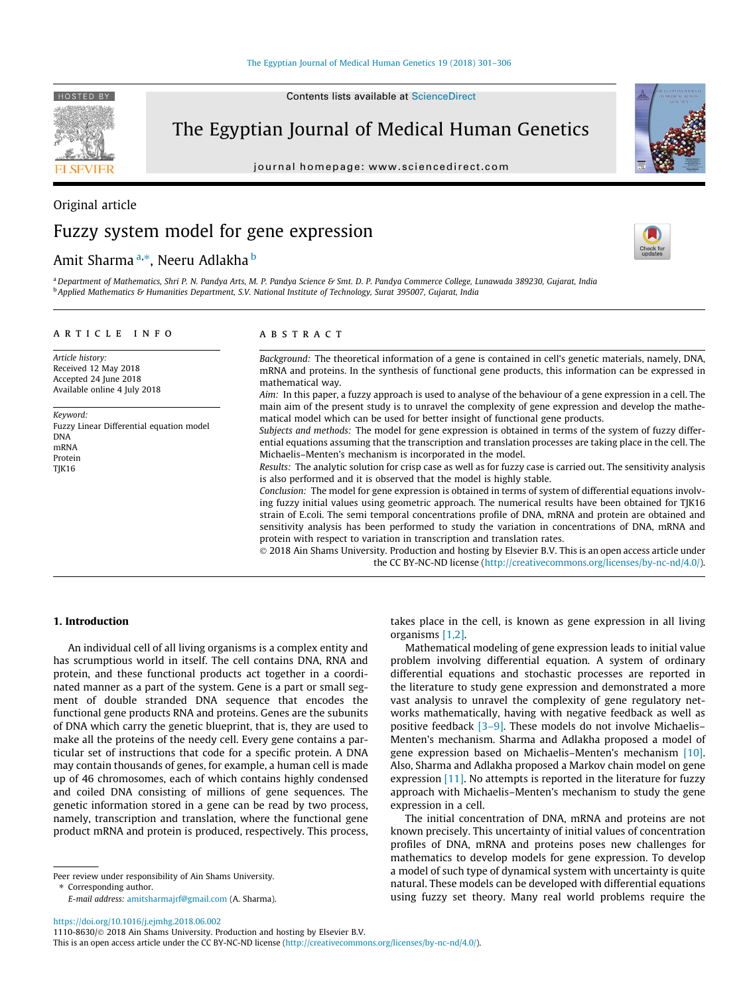#### [The Egyptian Journal of Medical Human Genetics 19 \(2018\) 301–306](https://doi.org/10.1016/j.ejmhg.2018.06.002)



## The Egyptian Journal of Medical Human Genetics

journal homepage: [www.sciencedirect.com](http://www.sciencedirect.com)



HOSTED BY

Original article

# Fuzzy system model for gene expression

### Amit Sharma <sup>a,</sup>\*, Neeru Adlakha <sup>b</sup>



<sup>a</sup> Department of Mathematics, Shri P. N. Pandya Arts, M. P. Pandya Science & Smt. D. P. Pandya Commerce College, Lunawada 389230, Gujarat, India <sup>b</sup> Applied Mathematics & Humanities Department, S.V. National Institute of Technology, Surat 395007, Gujarat, India

#### article info

Article history: Received 12 May 2018 Accepted 24 June 2018 Available online 4 July 2018

Keyword: Fuzzy Linear Differential equation model DNA mRNA Protein **TIK16** 

#### **ABSTRACT**

Background: The theoretical information of a gene is contained in cell's genetic materials, namely, DNA, mRNA and proteins. In the synthesis of functional gene products, this information can be expressed in mathematical way.

Aim: In this paper, a fuzzy approach is used to analyse of the behaviour of a gene expression in a cell. The main aim of the present study is to unravel the complexity of gene expression and develop the mathematical model which can be used for better insight of functional gene products.

Subjects and methods: The model for gene expression is obtained in terms of the system of fuzzy differential equations assuming that the transcription and translation processes are taking place in the cell. The Michaelis–Menten's mechanism is incorporated in the model.

Results: The analytic solution for crisp case as well as for fuzzy case is carried out. The sensitivity analysis is also performed and it is observed that the model is highly stable.

Conclusion: The model for gene expression is obtained in terms of system of differential equations involving fuzzy initial values using geometric approach. The numerical results have been obtained for TJK16 strain of E.coli. The semi temporal concentrations profile of DNA, mRNA and protein are obtained and sensitivity analysis has been performed to study the variation in concentrations of DNA, mRNA and protein with respect to variation in transcription and translation rates.

 2018 Ain Shams University. Production and hosting by Elsevier B.V. This is an open access article under the CC BY-NC-ND license (<http://creativecommons.org/licenses/by-nc-nd/4.0/>).

#### 1. Introduction

An individual cell of all living organisms is a complex entity and has scrumptious world in itself. The cell contains DNA, RNA and protein, and these functional products act together in a coordinated manner as a part of the system. Gene is a part or small segment of double stranded DNA sequence that encodes the functional gene products RNA and proteins. Genes are the subunits of DNA which carry the genetic blueprint, that is, they are used to make all the proteins of the needy cell. Every gene contains a particular set of instructions that code for a specific protein. A DNA may contain thousands of genes, for example, a human cell is made up of 46 chromosomes, each of which contains highly condensed and coiled DNA consisting of millions of gene sequences. The genetic information stored in a gene can be read by two process, namely, transcription and translation, where the functional gene product mRNA and protein is produced, respectively. This process,

Peer review under responsibility of Ain Shams University. ⇑ Corresponding author.

E-mail address: [amitsharmajrf@gmail.com](mailto:amitsharmajrf@gmail.com) (A. Sharma).

takes place in the cell, is known as gene expression in all living organisms [\[1,2\]](#page-5-0).

Mathematical modeling of gene expression leads to initial value problem involving differential equation. A system of ordinary differential equations and stochastic processes are reported in the literature to study gene expression and demonstrated a more vast analysis to unravel the complexity of gene regulatory networks mathematically, having with negative feedback as well as positive feedback [\[3–9\].](#page-5-0) These models do not involve Michaelis– Menten's mechanism. Sharma and Adlakha proposed a model of gene expression based on Michaelis–Menten's mechanism [\[10\].](#page-5-0) Also, Sharma and Adlakha proposed a Markov chain model on gene expression [\[11\].](#page-5-0) No attempts is reported in the literature for fuzzy approach with Michaelis–Menten's mechanism to study the gene expression in a cell.

The initial concentration of DNA, mRNA and proteins are not known precisely. This uncertainty of initial values of concentration profiles of DNA, mRNA and proteins poses new challenges for mathematics to develop models for gene expression. To develop a model of such type of dynamical system with uncertainty is quite natural. These models can be developed with differential equations using fuzzy set theory. Many real world problems require the

<https://doi.org/10.1016/j.ejmhg.2018.06.002>

1110-8630/ 2018 Ain Shams University. Production and hosting by Elsevier B.V.

This is an open access article under the CC BY-NC-ND license ([http://creativecommons.org/licenses/by-nc-nd/4.0/\)](http://creativecommons.org/licenses/by-nc-nd/4.0/).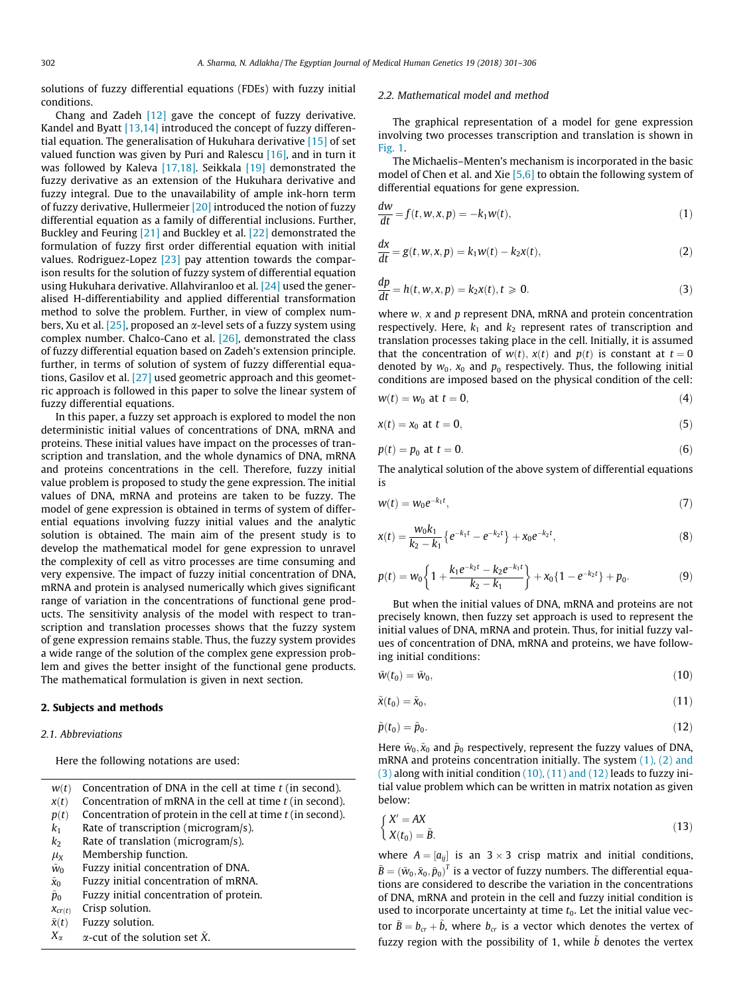solutions of fuzzy differential equations (FDEs) with fuzzy initial conditions.

Chang and Zadeh [\[12\]](#page-5-0) gave the concept of fuzzy derivative. Kandel and Byatt [\[13,14\]](#page-5-0) introduced the concept of fuzzy differential equation. The generalisation of Hukuhara derivative [\[15\]](#page-5-0) of set valued function was given by Puri and Ralescu  $[16]$ , and in turn it was followed by Kaleva [\[17,18\]](#page-5-0). Seikkala [\[19\]](#page-5-0) demonstrated the fuzzy derivative as an extension of the Hukuhara derivative and fuzzy integral. Due to the unavailability of ample ink-horn term of fuzzy derivative, Hullermeier [\[20\]](#page-5-0) introduced the notion of fuzzy differential equation as a family of differential inclusions. Further, Buckley and Feuring [\[21\]](#page-5-0) and Buckley et al. [\[22\]](#page-5-0) demonstrated the formulation of fuzzy first order differential equation with initial values. Rodriguez-Lopez [\[23\]](#page-5-0) pay attention towards the comparison results for the solution of fuzzy system of differential equation using Hukuhara derivative. Allahviranloo et al. [\[24\]](#page-5-0) used the generalised H-differentiability and applied differential transformation method to solve the problem. Further, in view of complex num-bers, Xu et al. [\[25\]](#page-5-0), proposed an  $\alpha$ -level sets of a fuzzy system using complex number. Chalco-Cano et al. [\[26\]](#page-5-0), demonstrated the class of fuzzy differential equation based on Zadeh's extension principle. further, in terms of solution of system of fuzzy differential equations, Gasilov et al. [\[27\]](#page-5-0) used geometric approach and this geometric approach is followed in this paper to solve the linear system of fuzzy differential equations.

In this paper, a fuzzy set approach is explored to model the non deterministic initial values of concentrations of DNA, mRNA and proteins. These initial values have impact on the processes of transcription and translation, and the whole dynamics of DNA, mRNA and proteins concentrations in the cell. Therefore, fuzzy initial value problem is proposed to study the gene expression. The initial values of DNA, mRNA and proteins are taken to be fuzzy. The model of gene expression is obtained in terms of system of differential equations involving fuzzy initial values and the analytic solution is obtained. The main aim of the present study is to develop the mathematical model for gene expression to unravel the complexity of cell as vitro processes are time consuming and very expensive. The impact of fuzzy initial concentration of DNA, mRNA and protein is analysed numerically which gives significant range of variation in the concentrations of functional gene products. The sensitivity analysis of the model with respect to transcription and translation processes shows that the fuzzy system of gene expression remains stable. Thus, the fuzzy system provides a wide range of the solution of the complex gene expression problem and gives the better insight of the functional gene products. The mathematical formulation is given in next section.

#### 2. Subjects and methods

#### 2.1. Abbreviations

Here the following notations are used:

- $w(t)$  Concentration of DNA in the cell at time t (in second).<br> $x(t)$  Concentration of mRNA in the cell at time t (in second)
- $x(t)$  Concentration of mRNA in the cell at time t (in second).<br> $p(t)$  Concentration of protein in the cell at time t (in second).
- $p(t)$  Concentration of protein in the cell at time t (in second).<br> $k_1$  Rate of transcription (microgram/s).
- Rate of transcription (microgram/s).
- $k_2$  Rate of translation (microgram/s).
- $\mu_X$  Membership function.
- $\tilde{w}_0$  Fuzzy initial concentration of DNA.
- $\tilde{x}_0$  Fuzzy initial concentration of mRNA.
- $\tilde{p}_0$  Fuzzy initial concentration of protein.
- 
- $x_{cr(t)}$  Crisp solution.<br> $\tilde{x}(t)$  Fuzzy solution  $\tilde{x}(t)$  Fuzzy solution.<br> $X_{\alpha}$   $\alpha$ -cut of the sol
- $\alpha$ -cut of the solution set  $\tilde{X}$ .

#### 2.2. Mathematical model and method

The graphical representation of a model for gene expression involving two processes transcription and translation is shown in [Fig. 1](#page-2-0).

The Michaelis–Menten's mechanism is incorporated in the basic model of Chen et al. and Xie [\[5,6\]](#page-5-0) to obtain the following system of differential equations for gene expression.

$$
\frac{dw}{dt} = f(t, w, x, p) = -k_1 w(t),\tag{1}
$$

$$
\frac{dx}{dt} = g(t, w, x, p) = k_1 w(t) - k_2 x(t),
$$
\n(2)

$$
\frac{dp}{dt} = h(t, w, x, p) = k_2 x(t), t \ge 0.
$$
\n(3)

where  $w$ ,  $x$  and  $p$  represent DNA, mRNA and protein concentration respectively. Here,  $k_1$  and  $k_2$  represent rates of transcription and translation processes taking place in the cell. Initially, it is assumed that the concentration of  $w(t)$ ,  $x(t)$  and  $p(t)$  is constant at  $t = 0$ denoted by  $w_0$ ,  $x_0$  and  $p_0$  respectively. Thus, the following initial conditions are imposed based on the physical condition of the cell:

$$
w(t) = w_0 \text{ at } t = 0,
$$
\n<sup>(4)</sup>

$$
x(t) = x_0 \text{ at } t = 0,
$$
\n<sup>(5)</sup>

$$
p(t) = p_0 \text{ at } t = 0. \tag{6}
$$

The analytical solution of the above system of differential equations is

$$
w(t) = w_0 e^{-k_1 t}, \tag{7}
$$

$$
x(t) = \frac{w_0 k_1}{k_2 - k_1} \left\{ e^{-k_1 t} - e^{-k_2 t} \right\} + x_0 e^{-k_2 t},
$$
\n(8)

$$
p(t) = w_0 \left\{ 1 + \frac{k_1 e^{-k_2 t} - k_2 e^{-k_1 t}}{k_2 - k_1} \right\} + x_0 \{ 1 - e^{-k_2 t} \} + p_0.
$$
 (9)

But when the initial values of DNA, mRNA and proteins are not precisely known, then fuzzy set approach is used to represent the initial values of DNA, mRNA and protein. Thus, for initial fuzzy values of concentration of DNA, mRNA and proteins, we have following initial conditions:

$$
\tilde{w}(t_0) = \tilde{w}_0, \tag{10}
$$

$$
\tilde{\mathbf{x}}(t_0) = \tilde{\mathbf{x}}_0,\tag{11}
$$

$$
\tilde{p}(t_0) = \tilde{p}_0. \tag{12}
$$

Here  $\tilde{w}_0$ ,  $\tilde{x}_0$  and  $\tilde{p}_0$  respectively, represent the fuzzy values of DNA, mRNA and proteins concentration initially. The system  $(1)$ ,  $(2)$  and  $(3)$  along with initial condition  $(10)$ ,  $(11)$  and  $(12)$  leads to fuzzy initial value problem which can be written in matrix notation as given below:

$$
\begin{cases}\nX' = AX \\
X(t_0) = \tilde{B}.\n\end{cases}
$$
\n(13)

where  $A = [a_{ij}]$  is an 3  $\times$  3 crisp matrix and initial conditions,  $\tilde{B} = (\tilde{w}_0, \tilde{x}_0, \tilde{p}_0)^T$  is a vector of fuzzy numbers. The differential equations are considered to describe the variation in the concentrations tions are considered to describe the variation in the concentrations of DNA, mRNA and protein in the cell and fuzzy initial condition is used to incorporate uncertainty at time  $t_0$ . Let the initial value vector  $\tilde{B} = b_{cr} + \tilde{b}$ , where  $b_{cr}$  is a vector which denotes the vertex of fuzzy region with the possibility of 1, while  $\tilde{b}$  denotes the vertex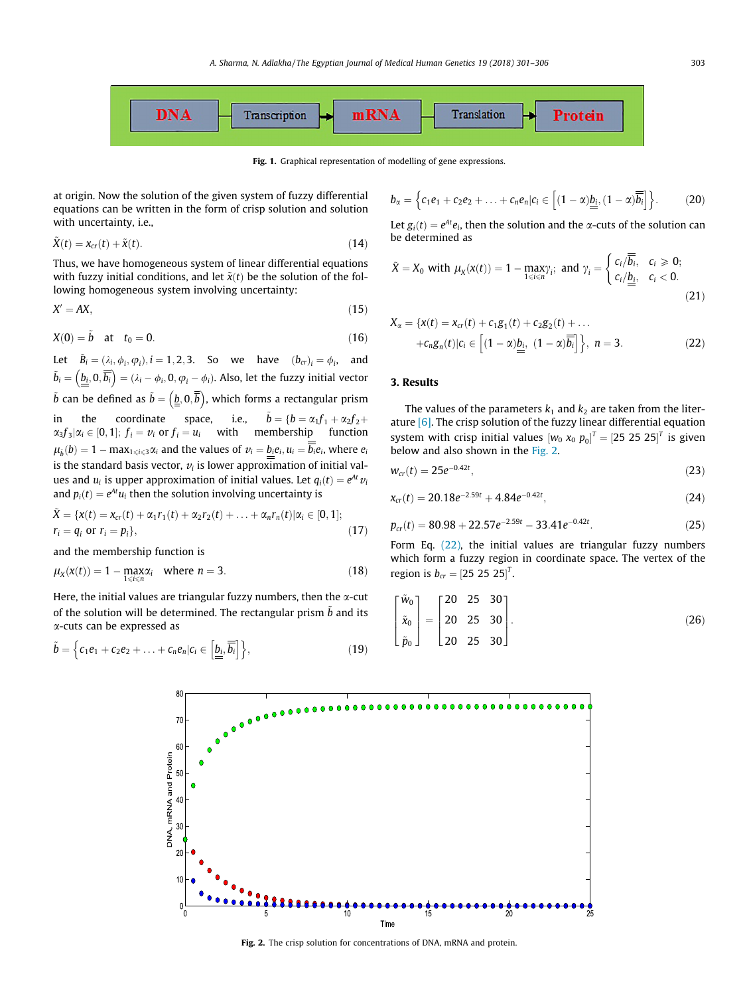<span id="page-2-0"></span>

Fig. 1. Graphical representation of modelling of gene expressions.

at origin. Now the solution of the given system of fuzzy differential equations can be written in the form of crisp solution and solution with uncertainty, i.e.,

$$
\tilde{X}(t) = x_{cr}(t) + \tilde{x}(t). \tag{14}
$$

Thus, we have homogeneous system of linear differential equations with fuzzy initial conditions, and let  $\tilde{x}(t)$  be the solution of the following homogeneous system involving uncertainty:

$$
X' = AX,\tag{15}
$$

$$
X(0) = \tilde{b} \quad \text{at} \quad t_0 = 0. \tag{16}
$$

Let  $\tilde{B}_i = (\lambda_i, \phi_i, \varphi_i), i = 1, 2, 3$ . So we have  $(b_{cr})_i = \phi_i$ , and  $\tilde{b}_i = (\underline{b_i}, 0, \overline{b_i}) = (\lambda_i - \phi_i, 0, \varphi_i - \phi_i)$ . Also, let the fuzzy initial vector  $\tilde{b}$  can be defined as  $\tilde{b} = \left(\underline{b}, 0, \overline{b}\right)$ , which forms a rectangular prism in the coordinate space, i.e.,  $\tilde{b} = \{b = \alpha_1 f_1 + \alpha_2 f_2 + \alpha_3 f_3\}$  $\alpha_3 f_3 | \alpha_i \in [0, 1];$   $f_i = v_i$  or  $f_i = u_i$  with membership function  $\mu_{\tilde{b}}(b) = 1 - \max_{1 \le i \le 3} \alpha_i$  and the values of  $v_i = \underline{b_i} e_i$ ,  $u_i = \overline{b_i} e_i$ , where  $e_i$ is the standard basis vector,  $v_i$  is lower approximation of initial values and  $u_i$  is upper approximation of initial values. Let  $q_i(t) = e^{At}v_i$ and  $p_i(t) = e^{At}u_i$  then the solution involving uncertainty is

$$
\tilde{X} = \{x(t) = x_{cr}(t) + \alpha_1 r_1(t) + \alpha_2 r_2(t) + \ldots + \alpha_n r_n(t) | \alpha_i \in [0, 1]; \nr_i = q_i \text{ or } r_i = p_i\},\tag{17}
$$

and the membership function is

$$
\mu_X(x(t)) = 1 - \max_{1 \le i \le n} \alpha_i \quad \text{where } n = 3. \tag{18}
$$

Here, the initial values are triangular fuzzy numbers, then the  $\alpha$ -cut of the solution will be determined. The rectangular prism  $\tilde{b}$  and its a-cuts can be expressed as

$$
\tilde{b} = \left\{c_1e_1 + c_2e_2 + \ldots + c_ne_n|c_i \in \left[\underline{b_i}, \overline{b_i}\right]\right\},\tag{19}
$$

$$
b_{\alpha} = \left\{c_1e_1 + c_2e_2 + \ldots + c_ne_n|c_i \in \left[(1-\alpha)\underline{b_i}, (1-\alpha)\overline{b_i}\right]\right\}.
$$
 (20)

Let  $g_i(t) = e^{At}e_i$ , then the solution and the  $\alpha$ -cuts of the solution can be determined as

$$
\tilde{X} = X_0 \text{ with } \mu_X(x(t)) = 1 - \max_{1 \le i \le n} \gamma_i; \text{ and } \gamma_i = \begin{cases} c_i / \overline{b_i}, & c_i \ge 0; \\ c_i / \underline{b_i}, & c_i < 0. \end{cases} \tag{21}
$$

$$
X_{\alpha} = \{x(t) = x_{cr}(t) + c_1g_1(t) + c_2g_2(t) + \dots
$$

$$
+ c_ng_n(t)|c_i \in \left[(1-\alpha)\underline{b_i}, (1-\alpha)\overline{b_i}\right]\}, n = 3.
$$
 (22)

#### 3. Results

The values of the parameters  $k_1$  and  $k_2$  are taken from the literature [\[6\].](#page-5-0) The crisp solution of the fuzzy linear differential equation system with crisp initial values  $[w_0 x_0 p_0]^T = [25 \ 25 \ 25]^T$  is given below and also shown in the Fig. 2. below and also shown in the Fig. 2.

$$
w_{cr}(t) = 25e^{-0.42t}, \tag{23}
$$

$$
x_{cr}(t) = 20.18e^{-2.59t} + 4.84e^{-0.42t}, \tag{24}
$$

$$
p_{cr}(t) = 80.98 + 22.57e^{-2.59t} - 33.41e^{-0.42t}.
$$
 (25)

Form Eq. (22), the initial values are triangular fuzzy numbers which form a fuzzy region in coordinate space. The vertex of the region is  $b_{cr} = [25 \ 25 \ 25]^T$ .

$$
\begin{bmatrix} \tilde{w}_0 \\ \tilde{x}_0 \\ \tilde{p}_0 \end{bmatrix} = \begin{bmatrix} 20 & 25 & 30 \\ 20 & 25 & 30 \\ 20 & 25 & 30 \end{bmatrix} . \tag{26}
$$



Fig. 2. The crisp solution for concentrations of DNA, mRNA and protein.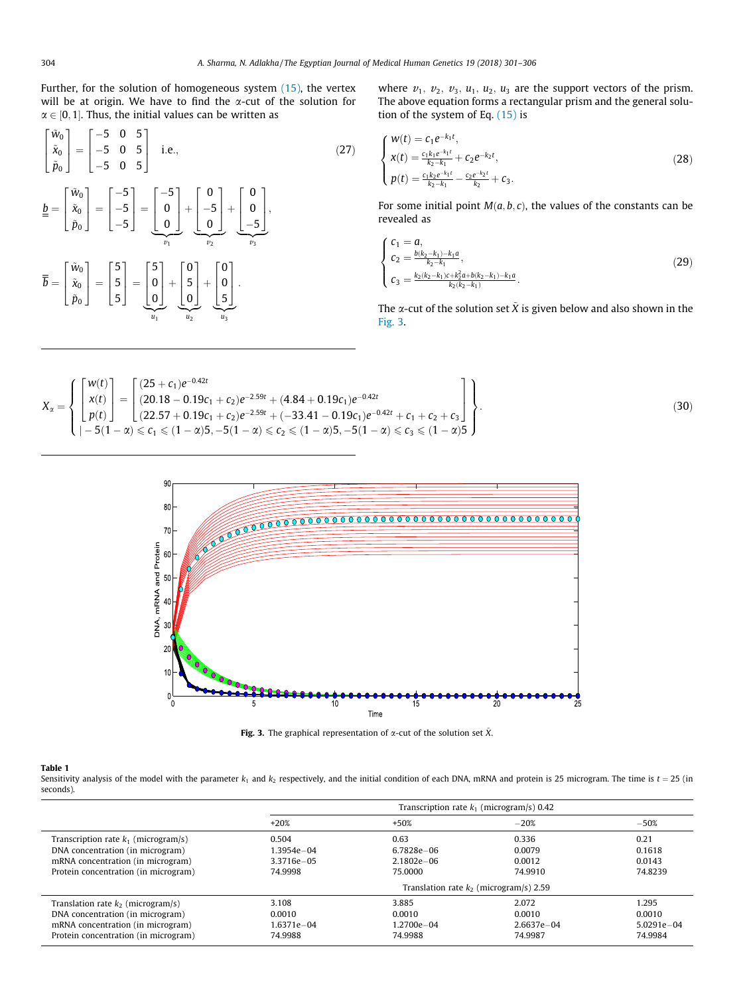<span id="page-3-0"></span>Further, for the solution of homogeneous system [\(15\),](#page-2-0) the vertex will be at origin. We have to find the  $\alpha$ -cut of the solution for  $\alpha \in [0, 1]$ . Thus, the initial values can be written as

$$
\begin{bmatrix}\n\tilde{w}_0 \\
\tilde{x}_0 \\
\tilde{p}_0\n\end{bmatrix} = \begin{bmatrix}\n-5 & 0 & 5 \\
-5 & 0 & 5 \\
-5 & 0 & 5\n\end{bmatrix}
$$
 i.e., (27)  
\n
$$
\underline{\underline{b}} = \begin{bmatrix}\n\tilde{w}_0 \\
\tilde{x}_0 \\
\tilde{p}_0\n\end{bmatrix} = \begin{bmatrix}\n-5 \\
-5 \\
-5\n\end{bmatrix} = \begin{bmatrix}\n-5 \\
0 \\
0\n\end{bmatrix} + \begin{bmatrix}\n0 \\
-5 \\
0\n\end{bmatrix} + \begin{bmatrix}\n0 \\
0 \\
-5\n\end{bmatrix},
$$
\n
$$
\begin{bmatrix}\n\tilde{w}_0 \\
\tilde{w}_0\n\end{bmatrix} = \begin{bmatrix}\n5 \\
5\n\end{bmatrix} = \begin{bmatrix}\n0 \\
0 \\
0\n\end{bmatrix} + \begin{bmatrix}\n0 \\
0 \\
0\n\end{bmatrix} = \begin{bmatrix}\n0 \\
0 \\
0\n\end{bmatrix}.
$$

where  $v_1$ ,  $v_2$ ,  $v_3$ ,  $u_1$ ,  $u_2$ ,  $u_3$  are the support vectors of the prism. The above equation forms a rectangular prism and the general solution of the system of Eq. [\(15\)](#page-2-0) is

$$
\begin{cases}\n w(t) = c_1 e^{-k_1 t}, \n x(t) = \frac{c_1 k_1 e^{-k_1 t}}{k_2 - k_1} + c_2 e^{-k_2 t}, \n p(t) = \frac{c_1 k_2 e^{-k_1 t}}{k_2 - k_1} - \frac{c_2 e^{-k_2 t}}{k_2} + c_3.\n\end{cases}
$$
\n(28)

For some initial point  $M(a, b, c)$ , the values of the constants can be revealed as

$$
\begin{cases}\n c_1 = a, \\
 c_2 = \frac{b(k_2 - k_1) - k_1 a}{k_2 - k_1}, \\
 c_3 = \frac{k_2(k_2 - k_1)c + k_2^2 a + b(k_2 - k_1) - k_1 a}{k_2(k_2 - k_1)}.\n\end{cases}
$$
\n(29)

The  $\alpha$ -cut of the solution set  $\tilde{X}$  is given below and also shown in the Fig. 3.

$$
X_{\alpha} = \left\{ \begin{bmatrix} w(t) \\ x(t) \\ p(t) \\ -5(1-\alpha) \leqslant c_1 \leqslant (1-\alpha)5, -5(1-\alpha) \leqslant c_2 \leqslant (1-\alpha)5, -5(1-\alpha) \leqslant c_2 \leqslant (1-\alpha)5, -5(1-\alpha) \leqslant c_3 \leqslant (1-\alpha)5 \end{bmatrix} \right\}.
$$
\n(30)



Fig. 3. The graphical representation of  $\alpha$ -cut of the solution set  $\tilde{X}$ .

#### Table 1

Sensitivity analysis of the model with the parameter  $k_1$  and  $k_2$  respectively, and the initial condition of each DNA, mRNA and protein is 25 microgram. The time is  $t = 25$  (in seconds).

|                                        | Transcription rate $k_1$ (microgram/s) 0.42 |                |                |                |
|----------------------------------------|---------------------------------------------|----------------|----------------|----------------|
|                                        | $+20%$                                      | $+50%$         | $-20%$         | $-50%$         |
| Transcription rate $k_1$ (microgram/s) | 0.504                                       | 0.63           | 0.336          | 0.21           |
| DNA concentration (in microgram)       | 1.3954e-04                                  | 6.7828e-06     | 0.0079         | 0.1618         |
| mRNA concentration (in microgram)      | $3.3716e - 0.5$                             | $2.1802e - 06$ | 0.0012         | 0.0143         |
| Protein concentration (in microgram)   | 74.9998                                     | 75.0000        | 74.9910        | 74.8239        |
|                                        | Translation rate $k_2$ (microgram/s) 2.59   |                |                |                |
| Translation rate $k_2$ (microgram/s)   | 3.108                                       | 3.885          | 2.072          | 1.295          |
| DNA concentration (in microgram)       | 0.0010                                      | 0.0010         | 0.0010         | 0.0010         |
| mRNA concentration (in microgram)      | 1.6371e-04                                  | $1.2700e - 04$ | $2.6637e - 04$ | $5.0291e - 04$ |
| Protein concentration (in microgram)   | 74.9988                                     | 74.9988        | 74.9987        | 74.9984        |

 $b =$ 

 $\tilde{\chi}_0$  $\tilde{p}_0$ 

 $\vert$  =

5 5  $\vert$  =

0 0

 $\widetilde{u_1}$ 

 $\overline{\phantom{a}}$ 

þ

5 0

 $\sum_{u_2}$ 

 $\overline{\phantom{a}}$ 

þ

0 5

 $\sum_{u_3}$ 

 $\overline{\phantom{a}}$ 

:

 $\overline{\phantom{a}}$ 

 $\overline{\phantom{a}}$ 

 $\overline{\phantom{a}}$ 

 $\overline{\phantom{a}}$ 

 $\overline{\mathcal{L}}$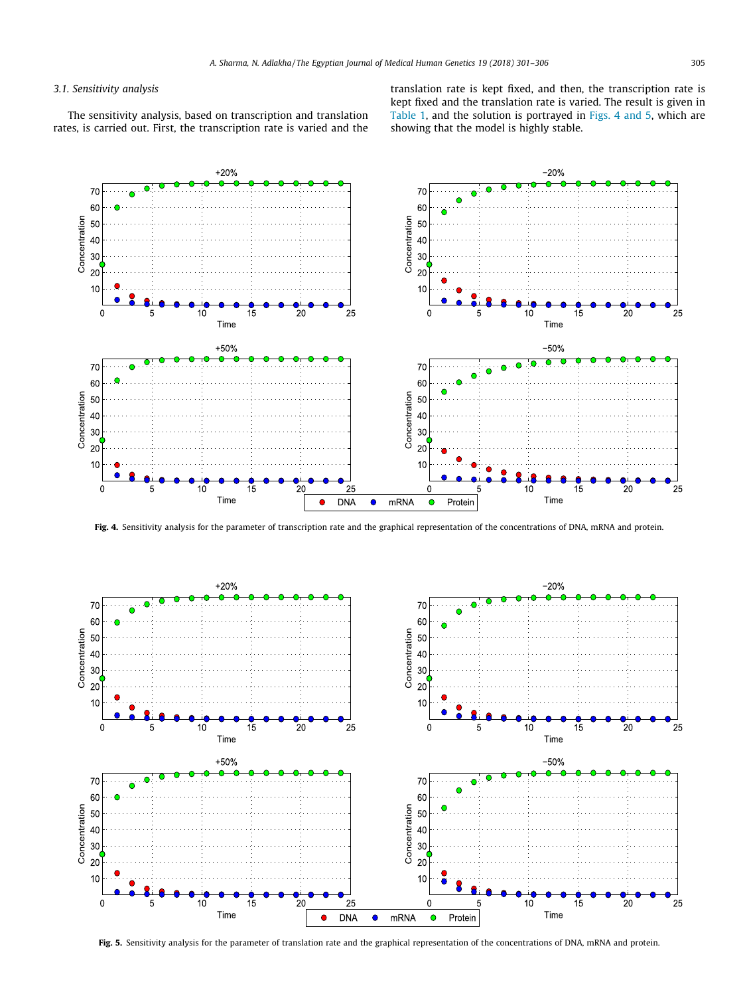#### <span id="page-4-0"></span>3.1. Sensitivity analysis

The sensitivity analysis, based on transcription and translation rates, is carried out. First, the transcription rate is varied and the translation rate is kept fixed, and then, the transcription rate is kept fixed and the translation rate is varied. The result is given in [Table 1,](#page-3-0) and the solution is portrayed in Figs. 4 and 5, which are showing that the model is highly stable.



Fig. 4. Sensitivity analysis for the parameter of transcription rate and the graphical representation of the concentrations of DNA, mRNA and protein.



Fig. 5. Sensitivity analysis for the parameter of translation rate and the graphical representation of the concentrations of DNA, mRNA and protein.